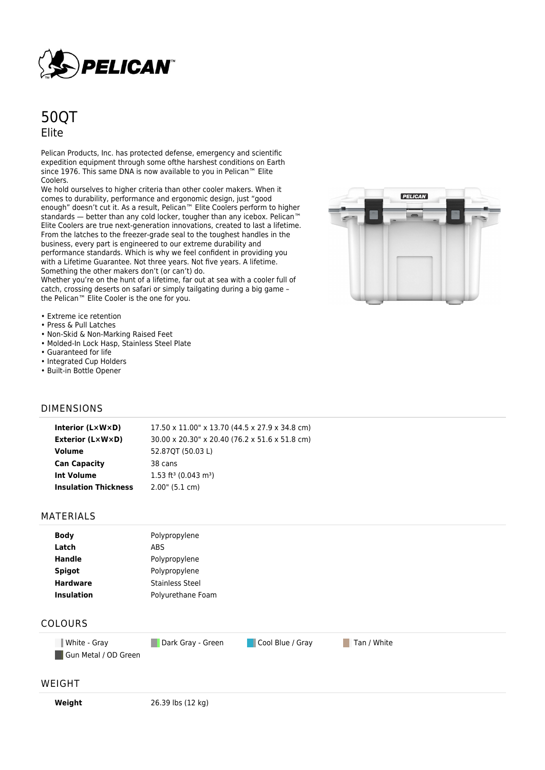

# 50QT Elite

Pelican Products, Inc. has protected defense, emergency and scientific expedition equipment through some ofthe harshest conditions on Earth since 1976. This same DNA is now available to you in Pelican™ Elite Coolers.

We hold ourselves to higher criteria than other cooler makers. When it comes to durability, performance and ergonomic design, just "good enough" doesn't cut it. As a result, Pelican™ Elite Coolers perform to higher standards — better than any cold locker, tougher than any icebox. Pelican™ Elite Coolers are true next-generation innovations, created to last a lifetime. From the latches to the freezer-grade seal to the toughest handles in the business, every part is engineered to our extreme durability and performance standards. Which is why we feel confident in providing you with a Lifetime Guarantee. Not three years. Not five years. A lifetime. Something the other makers don't (or can't) do.

Whether you're on the hunt of a lifetime, far out at sea with a cooler full of catch, crossing deserts on safari or simply tailgating during a big game – the Pelican™ Elite Cooler is the one for you.



- Extreme ice retention
- Press & Pull Latches
- Non-Skid & Non-Marking Raised Feet
- Molded-In Lock Hasp, Stainless Steel Plate
- Guaranteed for life
- Integrated Cup Holders
- Built-in Bottle Opener

### DIMENSIONS

#### MATERIALS

| <b>Body</b>       | Polypropylene          |
|-------------------|------------------------|
| Latch             | ABS                    |
| <b>Handle</b>     | Polypropylene          |
| <b>Spigot</b>     | Polypropylene          |
| <b>Hardware</b>   | <b>Stainless Steel</b> |
| <b>Insulation</b> | Polyurethane Foam      |
|                   |                        |

## COLOURS

**White - Gray Cool Blue / Gray Tan / White Cool Blue / Gray Tan / White** Gun Metal / OD Green

#### WEIGHT